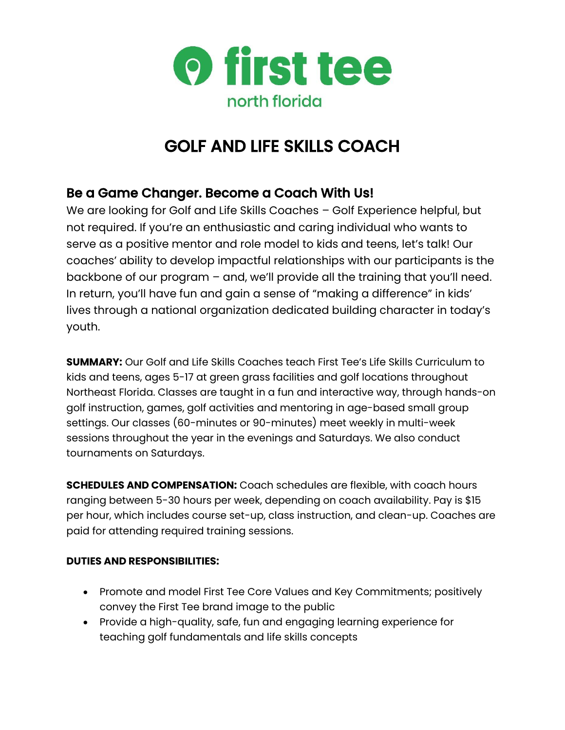

# GOLF AND LIFE SKILLS COACH

# Be a Game Changer. Become a Coach With Us!

We are looking for Golf and Life Skills Coaches – Golf Experience helpful, but not required. If you're an enthusiastic and caring individual who wants to serve as a positive mentor and role model to kids and teens, let's talk! Our coaches' ability to develop impactful relationships with our participants is the backbone of our program – and, we'll provide all the training that you'll need. In return, you'll have fun and gain a sense of "making a difference" in kids' lives through a national organization dedicated building character in today's youth.

**SUMMARY:** Our Golf and Life Skills Coaches teach First Tee's Life Skills Curriculum to kids and teens, ages 5-17 at green grass facilities and golf locations throughout Northeast Florida. Classes are taught in a fun and interactive way, through hands-on golf instruction, games, golf activities and mentoring in age-based small group settings. Our classes (60-minutes or 90-minutes) meet weekly in multi-week sessions throughout the year in the evenings and Saturdays. We also conduct tournaments on Saturdays.

**SCHEDULES AND COMPENSATION:** Coach schedules are flexible, with coach hours ranging between 5-30 hours per week, depending on coach availability. Pay is \$15 per hour, which includes course set-up, class instruction, and clean-up. Coaches are paid for attending required training sessions.

## **DUTIES AND RESPONSIBILITIES:**

- Promote and model First Tee Core Values and Key Commitments; positively convey the First Tee brand image to the public
- Provide a high-quality, safe, fun and engaging learning experience for teaching golf fundamentals and life skills concepts